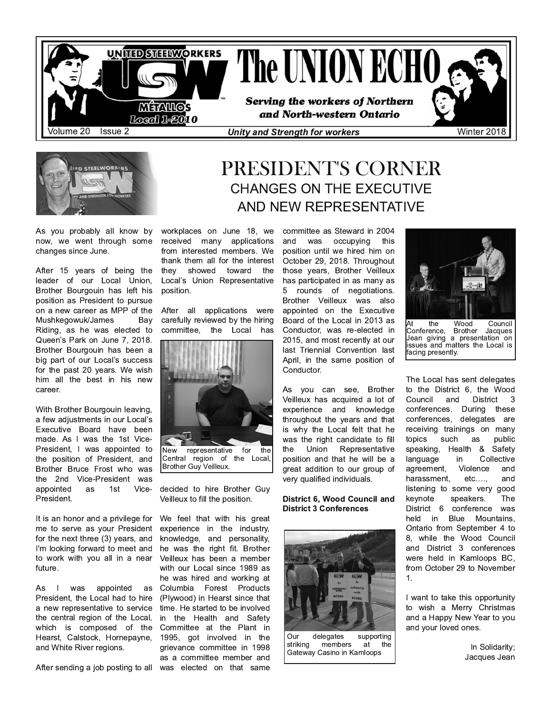



As you probably all know by now, we went through some changes since June.

After 15 years of being the leader of our Local Union, Brother Bourgouin has left his position as President to pursue on a new career as MPP of the Mushkegowuk/James Bay Riding, as he was elected to Queen's Park on June 7, 2018. Brother Bourgouin has been a big part of our Local's success for the past 20 years. We wish him all the best in his new career.

With Brother Bourgouin leaving, a few adjustments in our Local's Executive Board have been made. As I was the 1st Vice-President, I was appointed to the position of President, and Brother Bruce Frost who was the 2nd Vice-President was appointed as 1st Vice-President.

It is an honor and a privilege for me to serve as your President for the next three  $(3)$  years, and I'm looking forward to meet and to work with you all in a near future.

As I was appointed as President, the Local had to hire a new representative to service the central region of the Local, which is composed of the Hearst, Calstock, Hornepayne, and White River regions.

After sending a job posting to all was elected on that same

## CHANGES ON THE EXECUTIVE AND NEW REPRESENTATIVE workplaces on June 18, we committee as Steward in 2004

PRESIDENT'S CORNER

received many applications from interested members. We thank them all for the interest they showed toward the Local's Union Representative position.

After all applications were carefully reviewed by the hiring committee, the Local has



decided to hire Brother Guy Veilleux to fill the position.

We feel that with his great experience in the industry. knowledge, and personality, he was the right fit. Brother Veilleux has been a member with our Local since 1989 as he was hired and working at Columbia Forest Products (Plywood) in Hearst since that time. He started to be involved in the Health and Safety Committee at the Plant in 1995, got involved in the grievance committee in 1998 as a committee member and

and was occupving this position until we hired him on October 29, 2018. Throughout those years, Brother Veilleux has participated in as many as 5 rounds of negotiations. Brother Veilleux was also appointed on the Executive Board of the Local in 2013 as Conductor, was re-elected in 2015, and most recently at our last Triennial Convention last April, in the same position of Conductor.

As you can see, Brother Veilleux has acquired a lot of experience and knowledge throughout the years and that is why the Local felt that he was the right candidate to fill the Union Representative position and that he will be a great addition to our group of very qualified individuals.

### District 6, Wood Council and District 3 Conferences



Our delegates supporting<br>
striking members at the members Gateway Casino in Kamloops



the Wood Council<br>
ence, Brother Jacques Conference, Brother Jean giving a presentation on issues and matters the Local is facing presently.

The Local has sent delegates to the District 6, the Wood Council and District 3 conferences. During these conferences, delegates are receiving trainings on many topics such as public speaking, Health & Safety language in Collective agreement, Violence and harassment, etc...., and listening to some very good keynote speakers. The District 6 conference was held in Blue Mountains. Ontario from September 4 to 8, while the Wood Council and District 3 conferences were held in Kamloops BC, from October 29 to November  $1.$ 

I want to take this opportunity to wish a Merry Christmas and a Happy New Year to you and your loved ones.

> In Solidarity: Jacques Jean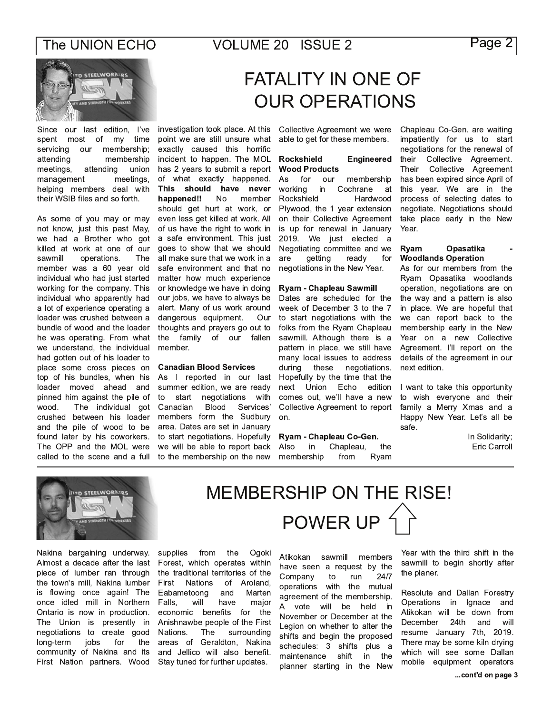incident to happen. The MOL

has 2 years to submit a report

of what exactly happened.

This should have never

should get hurt at work, or

even less get killed at work. All

of us have the right to work in

a safe environment. This just

goes to show that we should

all make sure that we work in a

safe environment and that no

matter how much experience

or knowledge we have in doing

our jobs, we have to always be

alert. Many of us work around

thoughts and prayers go out to

family of our fallen

dangerous equipment.

**Canadian Blood Services** 

As I reported in our last

summer edition, we are ready

**Blood** 

members form the Sudbury

area. Dates are set in January

to start negotiations. Hopefully

we will be able to report back

to the membership on the new

negotiations

the

to

member.

start

Canadian

**No** 

member

 $Q<sub>U</sub>$ 

with

Services'

happened!!



Since our last edition, I've investigation took place. At this most of my time spent servicing our membership; attending membership meetings, attending union management meetings, helping members deal with their WSIB files and so forth.

As some of you may or may not know, just this past May, we had a Brother who got killed at work at one of our sawmill operations. The member was a 60 year old individual who had just started working for the company. This individual who apparently had a lot of experience operating a loader was crushed between a bundle of wood and the loader he was operating. From what we understand, the individual had gotten out of his loader to place some cross pieces on top of his bundles, when his loader moved ahead and pinned him against the pile of The individual got wood. crushed between his loader and the pile of wood to be found later by his coworkers. The OPP and the MOL were called to the scene and a full

# **FATALITY IN ONE OF OUR OPERATIONS**

Collective Agreement we were point we are still unsure what able to get for these members. exactly caused this horrific

#### **Rockshield Engineered Wood Products**

As for our membership working in Cochrane at Rockshield Hardwood Plywood, the 1 year extension on their Collective Agreement is up for renewal in January 2019. We just elected a Negotiating committee and we getting ready for are negotiations in the New Year.

### Ryam - Chapleau Sawmill

Dates are scheduled for the week of December 3 to the 7 to start negotiations with the folks from the Ryam Chapleau sawmill. Although there is a pattern in place, we still have many local issues to address these negotiations. during Hopefully by the time that the next Union Echo edition comes out, we'll have a new Collective Agreement to report  $on.$ 

### Ryam - Chapleau Co-Gen.

**MEMBERSHIP ON THE RISE!** 

POWER UP<sup>4</sup>

the Also in Chapleau, membership from Ryam

Chapleau Co-Gen. are waiting impatiently for us to start negotiations for the renewal of their Collective Agreement. Their Collective Agreement has been expired since April of this year. We are in the process of selecting dates to negotiate. Negotiations should take place early in the New Year

#### Opasatika Ryam **Woodlands Operation**

As for our members from the Ryam Opasatika woodlands operation, negotiations are on the way and a pattern is also in place. We are hopeful that we can report back to the membership early in the New Year on a new Collective Agreement. I'll report on the details of the agreement in our next edition.

I want to take this opportunity to wish everyone and their family a Merry Xmas and a Happy New Year. Let's all be safe.

> In Solidarity; Eric Carroll



Nakina bargaining underway. Almost a decade after the last piece of lumber ran through the town's mill, Nakina lumber is flowing once again! The once idled mill in Northern Ontario is now in production. The Union is presently in negotiations to create good long-term jobs for the community of Nakina and its First Nation partners. Wood

supplies from the Ogoki Forest, which operates within the traditional territories of the First **Nations** of Aroland. Eabametoong and Marten Falls. will have major economic benefits for the Anishnawbe people of the First surrounding Nations. The areas of Geraldton. Nakina and Jellico will also benefit. Stay tuned for further updates.

Atikokan sawmill members have seen a request by the run Company to 24/7 operations with the mutual agreement of the membership. A vote will be held in November or December at the Legion on whether to alter the shifts and begin the proposed schedules: 3 shifts plus a maintenance shift in the planner starting in the New

Year with the third shift in the sawmill to begin shortly after the planer.

Resolute and Dallan Forestry Operations in Ignace and Atikokan will be down from 24th December and will resume January 7th, 2019. There may be some kiln drying which will see some Dallan mobile equipment operators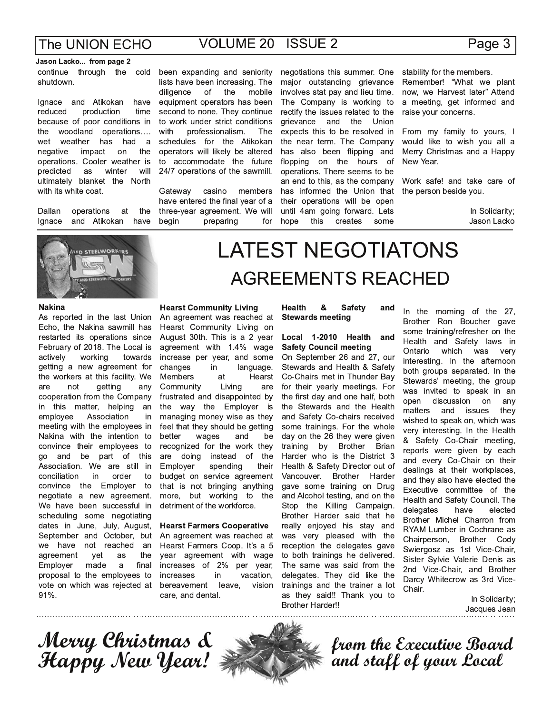# **VOLUME 20 ISSUE 2**

### Jason Lacko... from page 2 continue through the cold shutdown.

lgnace and Atikokan have production reduced time because of poor conditions in the woodland operations.... wet weather has had a negative impact on the operations. Cooler weather is predicted as winter will ultimately blanket the North with its white coat.

operations Dallan at the lanace and Atikokan have



### **Nakina**

As reported in the last Union Echo, the Nakina sawmill has restarted its operations since February of 2018. The Local is working actively towards getting a new agreement for the workers at this facility. We not getting are any cooperation from the Company in this matter, helping an employee Association in meeting with the employees in Nakina with the intention to convince their employees to go and be part of this Association. We are still in conciliation in order  $t_0$ convince the Employer to negotiate a new agreement. We have been successful in scheduling some negotiating dates in June, July, August, September and October, but we have not reached an the agreement yet as Employer made final a proposal to the employees to vote on which was rejected at 91%.

been expanding and seniority lists have been increasing. The mobile the diligence of equipment operators has been second to none. They continue to work under strict conditions professionalism. with The schedules for the Atikokan operators will likely be altered to accommodate the future 24/7 operations of the sawmill.

Gateway casino members have entered the final year of a three-year agreement. We will beain preparing for negotiations this summer. One major outstanding grievance involves stat pay and lieu time. The Company is working to rectify the issues related to the grievance and the Union expects this to be resolved in the near term. The Company has also been flipping and flopping on the hours of operations. There seems to be an end to this, as the company has informed the Union that their operations will be open until 4am going forward. Lets hope this creates some

stability for the members. Remember! "What we plant now, we Harvest later" Attend a meeting, get informed and raise vour concerns.

From my family to yours, I would like to wish you all a Merry Christmas and a Happy New Year.

Work safe! and take care of the person beside you.

> In Solidarity; Jason Lacko

# **LATEST NEGOTIATONS AGREEMENTS REACHED**

### **Hearst Community Living**

An agreement was reached at Hearst Community Living on August 30th. This is a 2 year agreement with 1.4% wage increase per year, and some changes in language. Members Hearst at Community Living are frustrated and disappointed by the way the Employer is managing money wise as they feel that they should be getting wages and be better recognized for the work they are doing instead of the Employer spending their budget on service agreement that is not bringing anything more, but working to the detriment of the workforce.

### **Hearst Farmers Cooperative**

An agreement was reached at Hearst Farmers Coop. It's a 5 year agreement with wage increases of 2% per year, increases in vacation, vision bereavement leave, care, and dental.

#### **Health** & **Safety** and **Stewards meeting**

### Local 1-2010 Health and **Safety Council meeting**

On September 26 and 27, our Stewards and Health & Safety Co-Chairs met in Thunder Bay for their yearly meetings. For the first day and one half, both the Stewards and the Health and Safety Co-chairs received some trainings. For the whole day on the 26 they were given training by Brother Brian Harder who is the District 3 Health & Safety Director out of Vancouver. Brother Harder gave some training on Drug and Alcohol testing, and on the Stop the Killing Campaign. Brother Harder said that he really enjoyed his stay and was very pleased with the reception the delegates gave to both trainings he delivered. The same was said from the delegates. They did like the trainings and the trainer a lot as they said!! Thank you to **Brother Harder!!** 

In the morning of the 27, Brother Ron Boucher gave some training/refresher on the Health and Safety laws in Ontario which was very interesting. In the afternoon both groups separated. In the Stewards' meeting, the group was invited to speak in an open discussion on any matters and issues they wished to speak on, which was very interesting. In the Health & Safety Co-Chair meeting, reports were given by each and every Co-Chair on their dealings at their workplaces, and they also have elected the Executive committee of the Health and Safety Council. The delegates have elected Brother Michel Charron from RYAM Lumber in Cochrane as Chairperson, Brother Cody Swiergosz as 1st Vice-Chair, Sister Sylvie Valerie Denis as 2nd Vice-Chair, and Brother Darcy Whitecrow as 3rd Vice-Chair.

> In Solidarity; Jacques Jean

Merry Christmas &<br>Happy New Year! }



from the Executive Board<br>and staff of your Local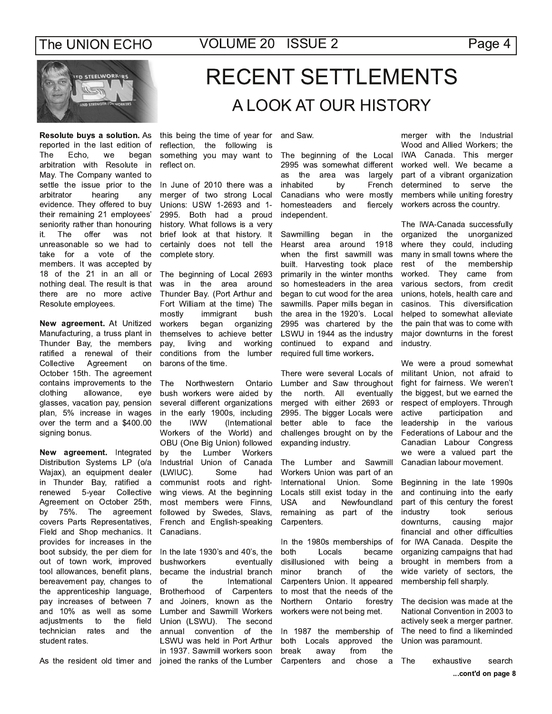Page 4



Resolute buys a solution. As reported in the last edition of The Echo, we began arbitration with Resolute in May. The Company wanted to settle the issue prior to the arbitrator hearing any evidence. They offered to buy their remaining 21 employees' seniority rather than honouring it. The offer was not unreasonable so we had to take for a vote of the members. It was accepted by 18 of the 21 in an all or nothing deal. The result is that there are no more active Resolute employees.

New agreement. At Unitized Manufacturing, a truss plant in Thunder Bay, the members ratified a renewal of their Agreement Collective on October 15th. The agreement contains improvements to the clothing allowance, eve glasses, vacation pay, pension plan, 5% increase in wages over the term and a \$400.00 signing bonus.

New agreement. Integrated Distribution Systems LP (o/a Wajax), an equipment dealer in Thunder Bay, ratified a 5-year Collective renewed Agreement on October 25th, by 75%. The agreement covers Parts Representatives, Field and Shop mechanics. It provides for increases in the boot subsidy, the per diem for out of town work, improved tool allowances, benefit plans, bereavement pay, changes to the apprenticeship language, pay increases of between 7 and 10% as well as some adjustments to the field technician rates and the student rates.

# **RECENT SETTLEMENTS** A LOOK AT OUR HISTORY

this being the time of year for reflection, the following is something you may want to reflect on.

In June of 2010 there was a merger of two strong Local Unions: USW 1-2693 and 1-2995. Both had a proud history. What follows is a very brief look at that history. It certainly does not tell the complete story.

The beginning of Local 2693 was in the area around Thunder Bay. (Port Arthur and Fort William at the time) The mostly immigrant bush workers began organizing themselves to achieve better working living and pay, conditions from the lumber barons of the time.

The Northwestern Ontario bush workers were aided by several different organizations in the early 1900s, including **IWW** (International the Workers of the World) and OBU (One Big Union) followed by the Lumber Workers Industrial Union of Canada (LWIUC). Some had communist roots and rightwing views. At the beginning most members were Finns, followed by Swedes, Slavs, French and English-speaking Canadians.

In the late 1930's and 40's, the bushworkers eventually became the industrial branch of the International Brotherhood of Carpenters and Joiners, known as the Lumber and Sawmill Workers Union (LSWU). The second annual convention of the LSWU was held in Port Arthur in 1937. Sawmill workers soon As the resident old timer and joined the ranks of the Lumber

and Saw.

The beginning of the Local 2995 was somewhat different as the area was largely inhabited by French Canadians who were mostly homesteaders and fiercely independent.

began the Sawmilling in Hearst area around 1918 when the first sawmill was built. Harvesting took place primarily in the winter months so homesteaders in the area began to cut wood for the area sawmills. Paper mills began in the area in the 1920's. Local 2995 was chartered by the LSWU in 1944 as the industry continued to expand and required full time workers.

There were several Locals of Lumber and Saw throughout the north. All eventually merged with either 2693 or 2995. The bigger Locals were better able to face the challenges brought on by the expanding industry.

The Lumber and Sawmill Workers Union was part of an International Union. Some Locals still exist today in the **USA** Newfoundland and remaining as part of the Carpenters.

In the 1980s memberships of both Locals became disillusioned with being  $\overline{a}$ minor branch of the Carpenters Union. It appeared to most that the needs of the Northern Ontario forestry workers were not being met.

In 1987 the membership of approved the both Locals the break away from Carpenters and chose a merger with the Industrial Wood and Allied Workers; the IWA Canada. This merger worked well. We became a part of a vibrant organization determined to serve the members while uniting forestry workers across the country.

The IWA-Canada successfully organized the unorganized where they could, including many in small towns where the rest of the membership worked. They came from various sectors, from credit unions, hotels, health care and casinos. This diversification helped to somewhat alleviate the pain that was to come with major downturns in the forest industry.

We were a proud somewhat militant Union, not afraid to fight for fairness. We weren't the biggest, but we earned the respect of employers. Through participation active and leadership in the various Federations of Labour and the Canadian Labour Congress we were a valued part the Canadian labour movement.

Beginning in the late 1990s and continuing into the early part of this century the forest industry took serious downturns, causing major financial and other difficulties for IWA Canada. Despite the organizing campaigns that had brought in members from a wide variety of sectors, the membership fell sharply.

The decision was made at the National Convention in 2003 to actively seek a merger partner. The need to find a likeminded Union was paramount.

The exhaustive search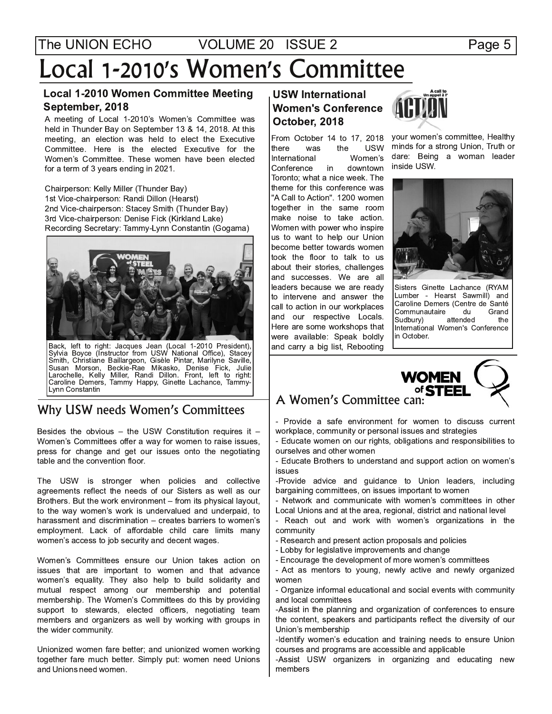# Local 1-2010's Women's Committee

### Local 1-2010 Women Committee Meeting September, 2018

A meeting of Local 1-2010's Women's Committee was held in Thunder Bay on September 13 & 14, 2018. At this meeting, an election was held to elect the Executive Committee. Here is the elected Executive for the Women's Committee. These women have been elected for a term of 3 years ending in 2021.

Chairperson: Kelly Miller (Thunder Bay) 1st Vice-chairperson: Randi Dillon (Hearst) 2nd Vice-chairperson: Stacey Smith (Thunder Bay) 3rd Vice-chairperson: Denise Fick (Kirkland Lake) Recording Secretary: Tammy-Lynn Constantin (Gogama)



Back, left to right: Jacques Jean (Local 1-2010 President),<br>Sylvia Boyce (Instructor from USW National Office), Stacey Smith, Christiane Baillargeon, Gisèle Pintar, Marilyne Saville, Susan Morson, Beckie-Rae Mikasko, Denise Fick, Julie Larochelle, Kelly Miller, Randi Dillon. Front, left to right: Caroline Demers, Tammy Happy, Ginette Lachance, Tammy-Lynn Constantin

# Why USW needs Women's Committees

Besides the obvious - the USW Constitution requires it -Women's Committees offer a way for women to raise issues, press for change and get our issues onto the negotiating table and the convention floor.

The USW is stronger when policies and collective agreements reflect the needs of our Sisters as well as our Brothers. But the work environment – from its physical layout, to the way women's work is undervalued and underpaid, to harassment and discrimination  $-$  creates barriers to women's employment. Lack of affordable child care limits many women's access to job security and decent wages.

Women's Committees ensure our Union takes action on issues that are important to women and that advance women's equality. They also help to build solidarity and mutual respect among our membership and potential membership. The Women's Committees do this by providing support to stewards, elected officers, negotiating team members and organizers as well by working with groups in the wider community.

Unionized women fare better; and unionized women working together fare much better. Simply put: women need Unions and Unions need women.

## **USW International** Women's Conference October, 2018

E96C6 H2D E96 -+/ International Women's<br>Conference in downtown Conference in Toronto; what a nice week. The theme for this conference was "A Call to Action". 1200 women together in the same room make noise to take action. Women with power who inspire us to want to help our Union become better towards women took the floor to talk to us about their stories, challenges and successes. We are all leaders because we are ready to intervene and answer the call to action in our workplaces and our respective Locals. Here are some workshops that were available: Speak boldly and carry a big list, Rebooting



From October 14 to 17, 2018 your women's committee, Healthy minds for a strong Union, Truth or dare: Being a woman leader inside USW.



Sisters Ginette Lachance (RYAM Lumber - Hearst Sawmill) and Caroline Demers (Centre de Santé<br>Communautaire du Grand Communautaire du<br>Sudbury) aftended Sudbury) attended the International Women's Conference in October.



# - Provide a safe environment for women to discuss current

workplace, community or personal issues and strategies

- Educate women on our rights, obligations and responsibilities to ourselves and other women

- Educate Brothers to understand and support action on women's issues

-Provide advice and guidance to Union leaders, including bargaining committees, on issues important to women

- Network and communicate with women's committees in other Local Unions and at the area, regional, district and national level

- Reach out and work with women's organizations in the community

- Research and present action proposals and policies
- Lobby for legislative improvements and change
- Encourage the development of more women's committees

- Act as mentors to young, newly active and newly organized women

- Organize informal educational and social events with community and local committees

-Assist in the planning and organization of conferences to ensure the content, speakers and participants reflect the diversity of our Union's membership

-Identify women's education and training needs to ensure Union courses and programs are accessible and applicable

-Assist USW organizers in organizing and educating new members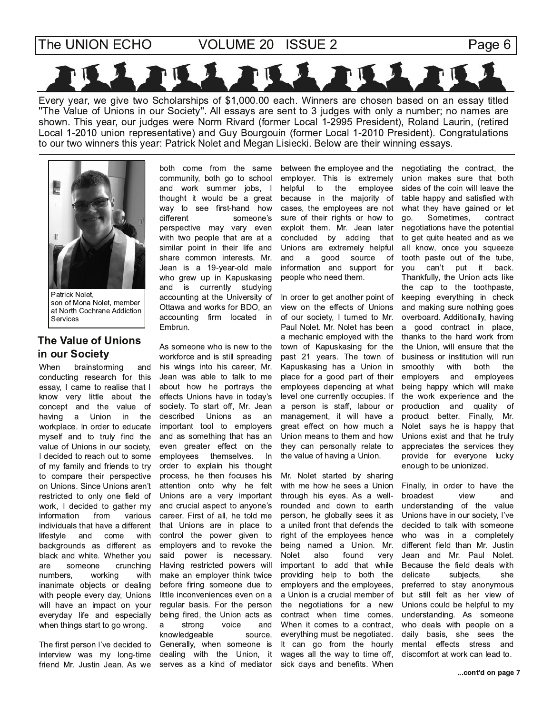**VOLUME 20 ISSUE 2** 

Page 6



Every year, we give two Scholarships of \$1,000.00 each. Winners are chosen based on an essay titled "The Value of Unions in our Society". All essays are sent to 3 judges with only a number; no names are shown. This year, our judges were Norm Rivard (former Local 1-2995 President), Roland Laurin, (retired Local 1-2010 union representative) and Guy Bourgouin (former Local 1-2010 President). Congratulations to our two winners this year: Patrick Nolet and Megan Lisiecki. Below are their winning essays.



Patrick Nolet, son of Mona Nolet, member at North Cochrane Addiction Services

## **The Value of Unions** in our Society

brainstorming When and conducting research for this essay, I came to realise that I know very little about the concept and the value of having a Union in the workplace. In order to educate myself and to truly find the value of Unions in our society, I decided to reach out to some of my family and friends to try to compare their perspective on Unions. Since Unions aren't restricted to only one field of work, I decided to gather my information from various individuals that have a different lifestyle and come with backgrounds as different as black and white. Whether you someone crunching are numbers, working with inanimate objects or dealing with people every day, Unions will have an impact on your everyday life and especially when things start to go wrong.

The first person I've decided to interview was my long-time friend Mr. Justin Jean. As we

both come from the same community, both go to school and work summer jobs, I thought it would be a great way to see first-hand how different someone's perspective may vary even with two people that are at a similar point in their life and share common interests. Mr. Jean is a 19-year-old male who grew up in Kapuskasing and is currently studying accounting at the University of Ottawa and works for BDO, an accounting firm located in Embrun.

As someone who is new to the workforce and is still spreading his wings into his career. Mr. Jean was able to talk to me about how he portrays the effects Unions have in today's society. To start off, Mr. Jean described Unions as an important tool to employers and as something that has an even greater effect on the employees themselves. - In order to explain his thought process, he then focuses his attention onto why he felt Unions are a very important and crucial aspect to anyone's career. First of all, he told me that Unions are in place to control the power given to employers and to revoke the power is necessary. said Having restricted powers will make an employer think twice before firing someone due to little inconveniences even on a regular basis. For the person being fired, the Union acts as strong voice and a knowledgeable source. Generally, when someone is dealing with the Union, it serves as a kind of mediator

between the employee and the employer. This is extremely the helpful to employee because in the majority of cases, the employees are not sure of their rights or how to exploit them. Mr. Jean later concluded by adding that Unions are extremely helpful good and source of a information and support for people who need them.

In order to get another point of view on the effects of Unions of our society, I turned to Mr. Paul Nolet. Mr. Nolet has been a mechanic employed with the town of Kapuskasing for the past 21 years. The town of Kapuskasing has a Union in place for a good part of their employees depending at what level one currently occupies. If a person is staff, labour or management, it will have a great effect on how much a Union means to them and how they can personally relate to the value of having a Union.

Mr. Nolet started by sharing with me how he sees a Union through his eyes. As a wellrounded and down to earth person, he globally sees it as a united front that defends the right of the employees hence being named a Union. Mr. **Nolet** also found very important to add that while providing help to both the employers and the employees, a Union is a crucial member of the negotiations for a new contract when time comes. When it comes to a contract, everything must be negotiated. It can go from the hourly wages all the way to time off, sick days and benefits. When

negotiating the contract, the union makes sure that both sides of the coin will leave the table happy and satisfied with what they have gained or let Sometimes, go. contract negotiations have the potential to get quite heated and as we all know, once you squeeze tooth paste out of the tube, can't put it back. you Thankfully, the Union acts like the cap to the toothpaste, keeping everything in check and making sure nothing goes overboard. Additionally, having a good contract in place, thanks to the hard work from the Union, will ensure that the business or institution will run smoothly with both the employees employers and being happy which will make the work experience and the production and quality of product better. Finally, Mr. Nolet says he is happy that Unions exist and that he truly appreciates the services they provide for everyone lucky enough to be unionized.

Finally, in order to have the broadest view and understanding of the value Unions have in our society, I've decided to talk with someone who was in a completely different field than Mr. Justin Jean and Mr. Paul Nolet. Because the field deals with delicate subjects, she preferred to stay anonymous but still felt as her view of Unions could be helpful to my understanding. As someone who deals with people on a daily basis, she sees the mental effects stress and discomfort at work can lead to.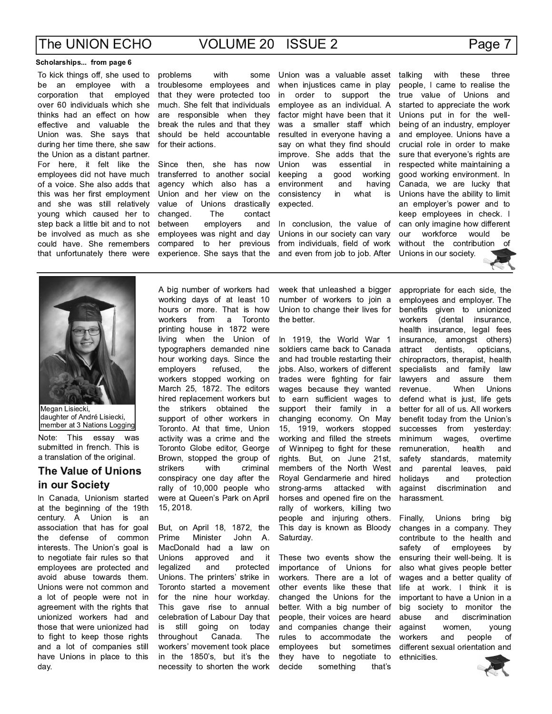### Scholarships... from page 6

To kick things off, she used to be an employee with a corporation that employed over 60 individuals which she thinks had an effect on how effective and valuable the Union was. She says that during her time there, she saw the Union as a distant partner. For here, it felt like the employees did not have much of a voice. She also adds that this was her first employment and she was still relatively young which caused her to step back a little bit and to not be involved as much as she could have. She remembers that unfortunately there were

problems with some troublesome employees and that they were protected too much. She felt that individuals are responsible when they break the rules and that they should be held accountable for their actions.

Since then, she has now transferred to another social agency which also has a Union and her view on the value of Unions drastically changed. The contact employers between and employees was night and day compared to her previous experience. She says that the

Union was a valuable asset when injustices came in play order to support the in employee as an individual. A factor might have been that it was a smaller staff which resulted in everyone having a say on what they find should improve. She adds that the Union was essential in good keeping a working environment and having consistency in what is expected.

In conclusion, the value of Unions in our society can vary from individuals, field of work and even from job to job. After

talking with these three people, I came to realise the true value of Unions and started to appreciate the work Unions put in for the wellbeing of an industry, employer and employee. Unions have a crucial role in order to make sure that everyone's rights are respected white maintaining a good working environment. In Canada, we are lucky that Unions have the ability to limit an employer's power and to keep employees in check. I can only imagine how different workforce our would be without the contribution of Unions in our society.



Megan Lisiecki, daughter of André Lisiecki, member at 3 Nations Logging

Note: This essay was submitted in french. This is a translation of the original.

### **The Value of Unions** in our Society

In Canada, Unionism started at the beginning of the 19th century. A Union is an association that has for goal defense of common the interests. The Union's goal is to negotiate fair rules so that employees are protected and avoid abuse towards them. Unions were not common and a lot of people were not in agreement with the rights that unionized workers had and those that were unionized had to fight to keep those rights and a lot of companies still have Unions in place to this day.

A big number of workers had working days of at least 10 hours or more. That is how workers from  $\overline{a}$ Toronto printing house in 1872 were living when the Union of typographers demanded nine hour working days. Since the emplovers refused. the workers stopped working on March 25, 1872. The editors hired replacement workers but the strikers obtained the support of other workers in Toronto. At that time. Union activity was a crime and the Toronto Globe editor, George Brown, stopped the group of strikers criminal with conspiracy one day after the rally of 10,000 people who were at Queen's Park on April 15, 2018.

But, on April 18, 1872, the Prime Minister John  $A$ . MacDonald had a law on **Unions** approved it and legalized and protected Unions. The printers' strike in Toronto started a movement for the nine hour workday. This gave rise to annual celebration of Labour Day that still going on today is throughout Canada. The workers' movement took place in the 1850's, but it's the necessity to shorten the work

week that unleashed a bigger number of workers to join a Union to change their lives for the better.

In 1919, the World War 1 soldiers came back to Canada and had trouble restarting their jobs. Also, workers of different trades were fighting for fair wages because they wanted to earn sufficient wages to support their family in a changing economy. On May 15, 1919, workers stopped working and filled the streets of Winnipeg to fight for these rights. But, on June 21st, members of the North West Royal Gendarmerie and hired attacked strong-arms with horses and opened fire on the rally of workers, killing two people and injuring others. This day is known as Bloody Saturday.

These two events show the importance of Unions for workers. There are a lot of other events like these that changed the Unions for the better. With a big number of people, their voices are heard and companies change their rules to accommodate the employees but sometimes they have to negotiate to decide something that's appropriate for each side, the employees and employer. The benefits given to unionized workers (dental insurance, health insurance, legal fees insurance, amongst others) attract dentists, opticians, chiropractors, therapist, health specialists and family law lawyers and assure them When Unions revenue. defend what is just, life gets better for all of us. All workers benefit today from the Union's successes from yesterday: overtime minimum wages, remuneration, health and safety standards, maternity and parental leaves, naid holidavs protection and against discrimination and harassment.

Finally, Unions bring big changes in a company. They contribute to the health and safety of employees by ensuring their well-being. It is also what gives people better wages and a better quality of life at work. I think it is important to have a Union in a big society to monitor the and abuse discrimination against women. young workers and people of different sexual orientation and ethnicities.



### Page 7